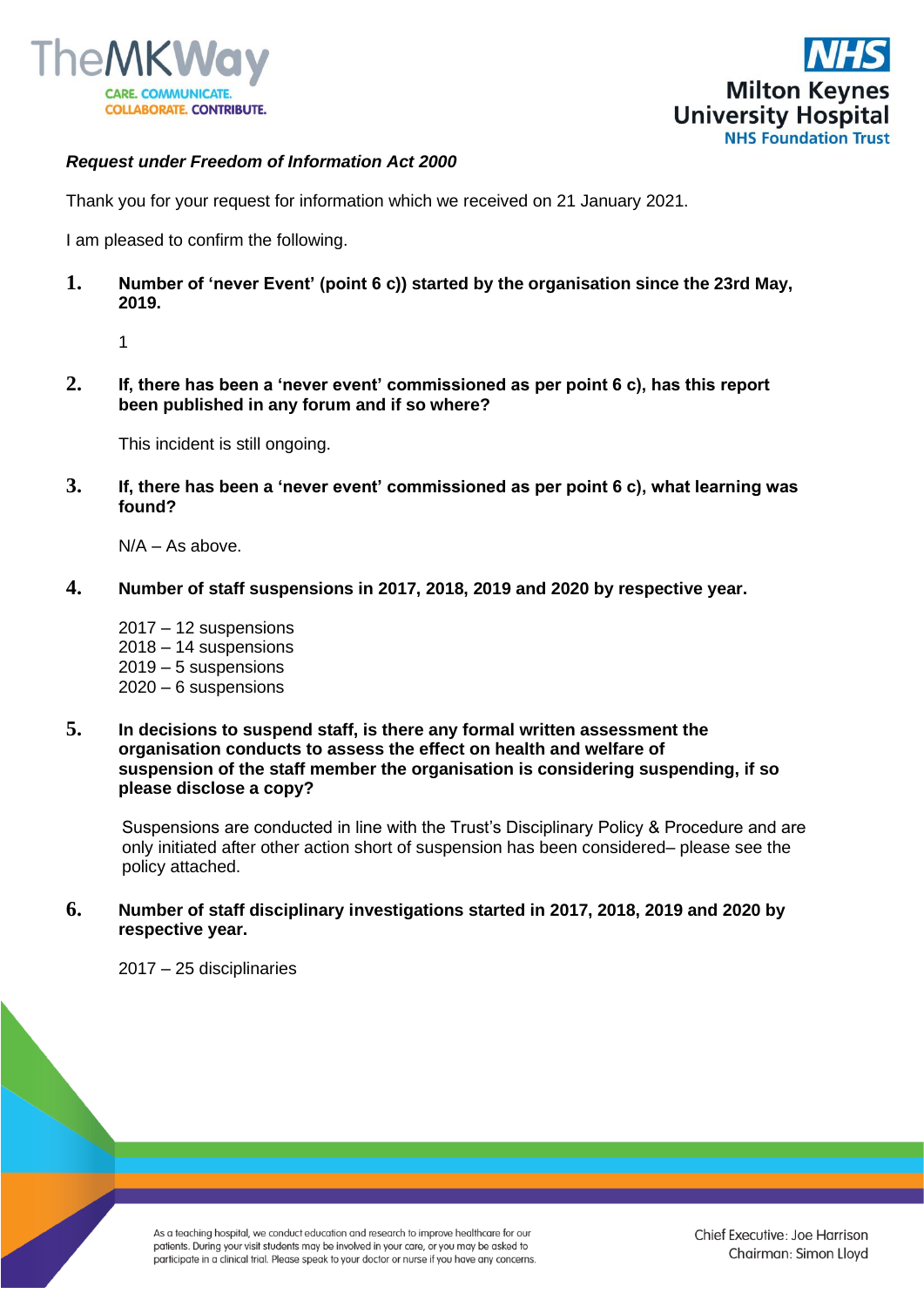



## *Request under Freedom of Information Act 2000*

Thank you for your request for information which we received on 21 January 2021.

I am pleased to confirm the following.

**1. Number of 'never Event' (point 6 c)) started by the organisation since the 23rd May, 2019.** 

1

**2. If, there has been a 'never event' commissioned as per point 6 c), has this report been published in any forum and if so where?**

This incident is still ongoing.

**3. If, there has been a 'never event' commissioned as per point 6 c), what learning was found?**

 $N/A - As above$ .

**4. Number of staff suspensions in 2017, 2018, 2019 and 2020 by respective year.**

2017 – 12 suspensions 2018 – 14 suspensions 2019 – 5 suspensions 2020 – 6 suspensions

**5. In decisions to suspend staff, is there any formal written assessment the organisation conducts to assess the effect on health and welfare of suspension of the staff member the organisation is considering suspending, if so please disclose a copy?**

Suspensions are conducted in line with the Trust's Disciplinary Policy & Procedure and are only initiated after other action short of suspension has been considered– please see the policy attached.

**6. Number of staff disciplinary investigations started in 2017, 2018, 2019 and 2020 by respective year.**

2017 – 25 disciplinaries

As a teaching hospital, we conduct education and research to improve healthcare for our patients. During your visit students may be involved in your care, or you may be asked to participate in a clinical trial. Please speak to your doctor or nurse if you have any concerns.